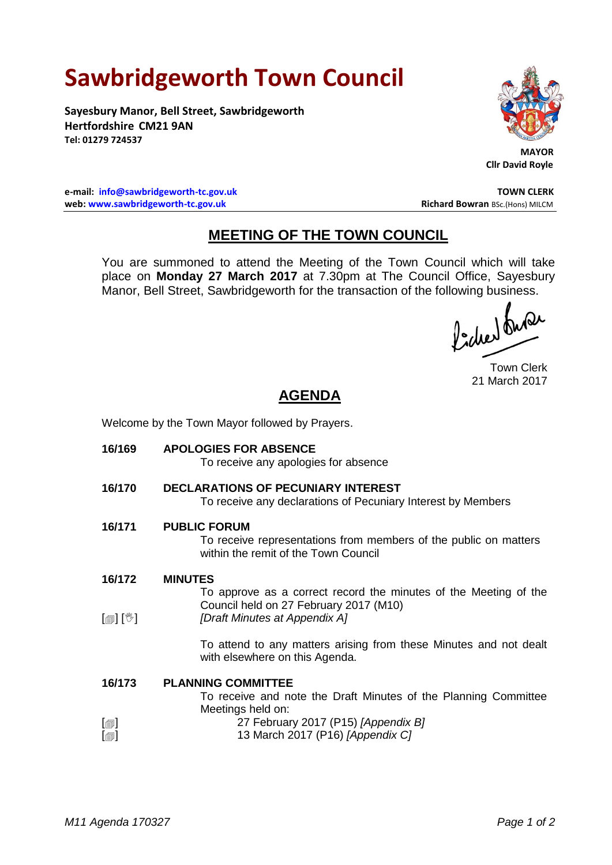## **Sawbridgeworth Town Council**

**Sayesbury Manor, Bell Street, Sawbridgeworth Hertfordshire CM21 9AN Tel: 01279 724537**



 **MAYOR Cllr David Royle**

**e-mail: [info@sawbridgeworth-tc.gov.uk](mailto:info@sawbridgeworth-tc.gov.uk) TOWN CLERK web: www.sawbridgeworth-tc.gov.uk Richard Bowran BSc.(Hons) MILCM Richard Bowran BSc.(Hons) MILCM** 

## **MEETING OF THE TOWN COUNCIL**

You are summoned to attend the Meeting of the Town Council which will take place on **Monday 27 March 2017** at 7.30pm at The Council Office, Sayesbury Manor, Bell Street, Sawbridgeworth for the transaction of the following business.

Town Clerk 21 March 2017

## **AGENDA**

Welcome by the Town Mayor followed by Prayers.

**16/169 APOLOGIES FOR ABSENCE** To receive any apologies for absence **16/170 DECLARATIONS OF PECUNIARY INTEREST** To receive any declarations of Pecuniary Interest by Members **16/171 PUBLIC FORUM** To receive representations from members of the public on matters within the remit of the Town Council **16/172**  $\lceil \frac{m}{2} \rceil$   $\lceil \frac{m}{2} \rceil$ **MINUTES** To approve as a correct record the minutes of the Meeting of the Council held on 27 February 2017 (M10) *[Draft Minutes at Appendix A]*

To attend to any matters arising from these Minutes and not dealt with elsewhere on this Agenda.

## **16/173 PLANNING COMMITTEE**

To receive and note the Draft Minutes of the Planning Committee Meetings held on:

- $\lceil$  $\blacksquare$ 27 February 2017 (P15) *[Appendix B]*
- $[\blacksquare]$ 13 March 2017 (P16) *[Appendix C]*